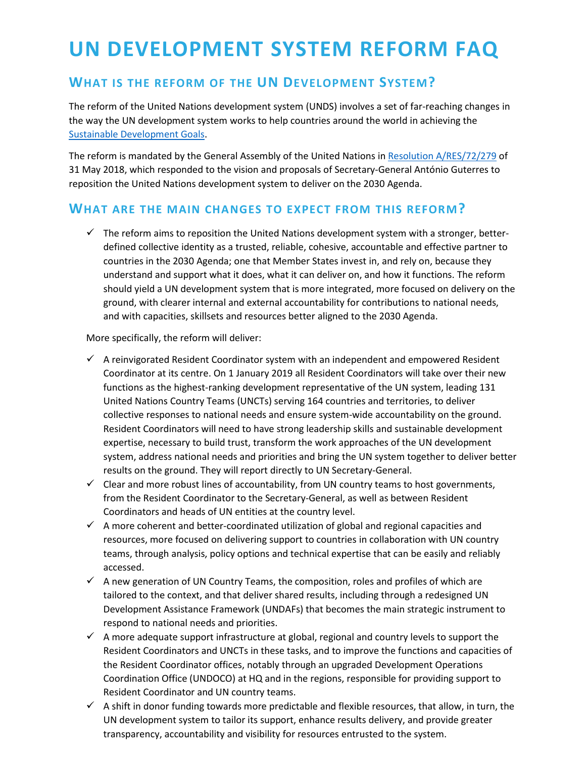# **UN DEVELOPMENT SYSTEM REFORM FAQ**

# **WHAT IS THE REFORM OF THE UN DEVELOPMENT SYSTEM?**

The reform of the United Nations development system (UNDS) involves a set of far-reaching changes in the way the UN development system works to help countries around the world in achieving the [Sustainable Development](https://www.un.org/sustainabledevelopment/development-agenda/) Goals.

The reform is mandated by the General Assembly of the United Nations i[n Resolution A/RES/72/279](http://undocs.org/a/res/72/279) of 31 May 2018, which responded to the vision and proposals of Secretary-General António Guterres to reposition the United Nations development system to deliver on the 2030 Agenda.

#### **WHAT ARE THE MAIN CHANGES TO EXPECT FROM THIS REFORM?**

 $\checkmark$  The reform aims to reposition the United Nations development system with a stronger, betterdefined collective identity as a trusted, reliable, cohesive, accountable and effective partner to countries in the 2030 Agenda; one that Member States invest in, and rely on, because they understand and support what it does, what it can deliver on, and how it functions. The reform should yield a UN development system that is more integrated, more focused on delivery on the ground, with clearer internal and external accountability for contributions to national needs, and with capacities, skillsets and resources better aligned to the 2030 Agenda.

More specifically, the reform will deliver:

- $\checkmark$  A reinvigorated Resident Coordinator system with an independent and empowered Resident Coordinator at its centre. On 1 January 2019 all Resident Coordinators will take over their new functions as the highest-ranking development representative of the UN system, leading 131 United Nations Country Teams (UNCTs) serving 164 countries and territories, to deliver collective responses to national needs and ensure system-wide accountability on the ground. Resident Coordinators will need to have strong leadership skills and sustainable development expertise, necessary to build trust, transform the work approaches of the UN development system, address national needs and priorities and bring the UN system together to deliver better results on the ground. They will report directly to UN Secretary-General.
- $\checkmark$  Clear and more robust lines of accountability, from UN country teams to host governments, from the Resident Coordinator to the Secretary-General, as well as between Resident Coordinators and heads of UN entities at the country level.
- $\checkmark$  A more coherent and better-coordinated utilization of global and regional capacities and resources, more focused on delivering support to countries in collaboration with UN country teams, through analysis, policy options and technical expertise that can be easily and reliably accessed.
- $\checkmark$  A new generation of UN Country Teams, the composition, roles and profiles of which are tailored to the context, and that deliver shared results, including through a redesigned UN Development Assistance Framework (UNDAFs) that becomes the main strategic instrument to respond to national needs and priorities.
- $\checkmark$  A more adequate support infrastructure at global, regional and country levels to support the Resident Coordinators and UNCTs in these tasks, and to improve the functions and capacities of the Resident Coordinator offices, notably through an upgraded Development Operations Coordination Office (UNDOCO) at HQ and in the regions, responsible for providing support to Resident Coordinator and UN country teams.
- $\checkmark$  A shift in donor funding towards more predictable and flexible resources, that allow, in turn, the UN development system to tailor its support, enhance results delivery, and provide greater transparency, accountability and visibility for resources entrusted to the system.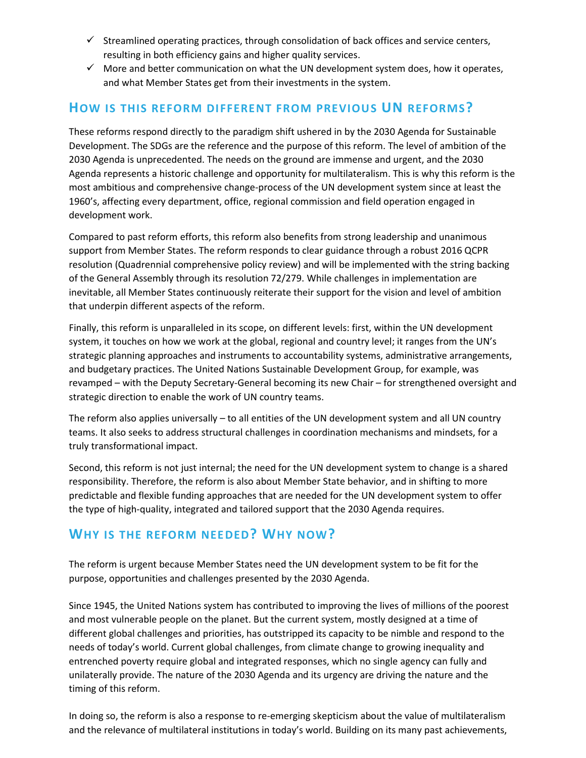- $\checkmark$  Streamlined operating practices, through consolidation of back offices and service centers, resulting in both efficiency gains and higher quality services.
- $\checkmark$  More and better communication on what the UN development system does, how it operates, and what Member States get from their investments in the system.

#### **HOW IS THIS REFORM DIFFERENT FROM PREVIOUS UN REFORMS?**

These reforms respond directly to the paradigm shift ushered in by the 2030 Agenda for Sustainable Development. The SDGs are the reference and the purpose of this reform. The level of ambition of the 2030 Agenda is unprecedented. The needs on the ground are immense and urgent, and the 2030 Agenda represents a historic challenge and opportunity for multilateralism. This is why this reform is the most ambitious and comprehensive change-process of the UN development system since at least the 1960's, affecting every department, office, regional commission and field operation engaged in development work.

Compared to past reform efforts, this reform also benefits from strong leadership and unanimous support from Member States. The reform responds to clear guidance through a robust 2016 QCPR resolution (Quadrennial comprehensive policy review) and will be implemented with the string backing of the General Assembly through its resolution 72/279. While challenges in implementation are inevitable, all Member States continuously reiterate their support for the vision and level of ambition that underpin different aspects of the reform.

Finally, this reform is unparalleled in its scope, on different levels: first, within the UN development system, it touches on how we work at the global, regional and country level; it ranges from the UN's strategic planning approaches and instruments to accountability systems, administrative arrangements, and budgetary practices. The United Nations Sustainable Development Group, for example, was revamped – with the Deputy Secretary-General becoming its new Chair – for strengthened oversight and strategic direction to enable the work of UN country teams.

The reform also applies universally – to all entities of the UN development system and all UN country teams. It also seeks to address structural challenges in coordination mechanisms and mindsets, for a truly transformational impact.

Second, this reform is not just internal; the need for the UN development system to change is a shared responsibility. Therefore, the reform is also about Member State behavior, and in shifting to more predictable and flexible funding approaches that are needed for the UN development system to offer the type of high-quality, integrated and tailored support that the 2030 Agenda requires.

# **WHY IS THE REFORM NEEDED? WHY NOW?**

The reform is urgent because Member States need the UN development system to be fit for the purpose, opportunities and challenges presented by the 2030 Agenda.

Since 1945, the United Nations system has contributed to improving the lives of millions of the poorest and most vulnerable people on the planet. But the current system, mostly designed at a time of different global challenges and priorities, has outstripped its capacity to be nimble and respond to the needs of today's world. Current global challenges, from climate change to growing inequality and entrenched poverty require global and integrated responses, which no single agency can fully and unilaterally provide. The nature of the 2030 Agenda and its urgency are driving the nature and the timing of this reform.

In doing so, the reform is also a response to re-emerging skepticism about the value of multilateralism and the relevance of multilateral institutions in today's world. Building on its many past achievements,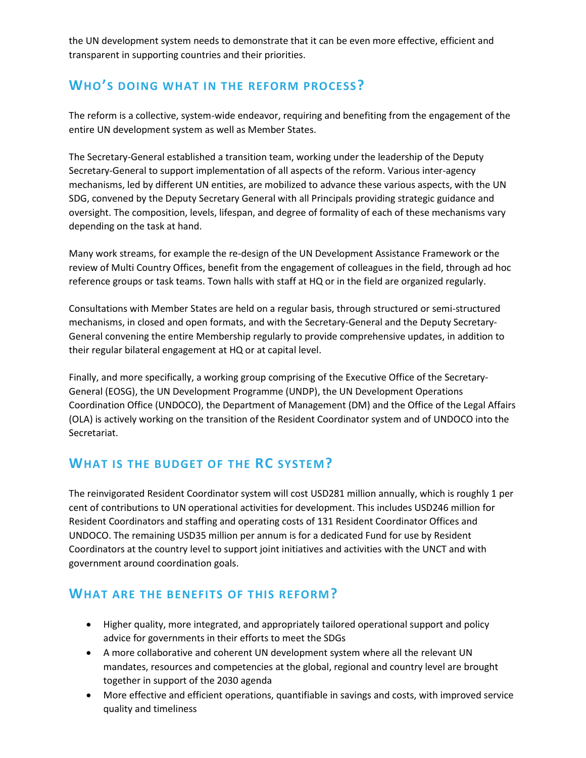the UN development system needs to demonstrate that it can be even more effective, efficient and transparent in supporting countries and their priorities.

# **WHO'S DOING WHAT IN THE REFORM PROCESS?**

The reform is a collective, system-wide endeavor, requiring and benefiting from the engagement of the entire UN development system as well as Member States.

The Secretary-General established a transition team, working under the leadership of the Deputy Secretary-General to support implementation of all aspects of the reform. Various inter-agency mechanisms, led by different UN entities, are mobilized to advance these various aspects, with the UN SDG, convened by the Deputy Secretary General with all Principals providing strategic guidance and oversight. The composition, levels, lifespan, and degree of formality of each of these mechanisms vary depending on the task at hand.

Many work streams, for example the re-design of the UN Development Assistance Framework or the review of Multi Country Offices, benefit from the engagement of colleagues in the field, through ad hoc reference groups or task teams. Town halls with staff at HQ or in the field are organized regularly.

Consultations with Member States are held on a regular basis, through structured or semi-structured mechanisms, in closed and open formats, and with the Secretary-General and the Deputy Secretary-General convening the entire Membership regularly to provide comprehensive updates, in addition to their regular bilateral engagement at HQ or at capital level.

Finally, and more specifically, a working group comprising of the Executive Office of the Secretary-General (EOSG), the UN Development Programme (UNDP), the UN Development Operations Coordination Office (UNDOCO), the Department of Management (DM) and the Office of the Legal Affairs (OLA) is actively working on the transition of the Resident Coordinator system and of UNDOCO into the Secretariat.

# **WHAT IS THE BUDGET OF THE RC SYSTEM?**

The reinvigorated Resident Coordinator system will cost USD281 million annually, which is roughly 1 per cent of contributions to UN operational activities for development. This includes USD246 million for Resident Coordinators and staffing and operating costs of 131 Resident Coordinator Offices and UNDOCO. The remaining USD35 million per annum is for a dedicated Fund for use by Resident Coordinators at the country level to support joint initiatives and activities with the UNCT and with government around coordination goals.

# **WHAT ARE THE BENEFITS OF THIS REFORM?**

- Higher quality, more integrated, and appropriately tailored operational support and policy advice for governments in their efforts to meet the SDGs
- A more collaborative and coherent UN development system where all the relevant UN mandates, resources and competencies at the global, regional and country level are brought together in support of the 2030 agenda
- More effective and efficient operations, quantifiable in savings and costs, with improved service quality and timeliness